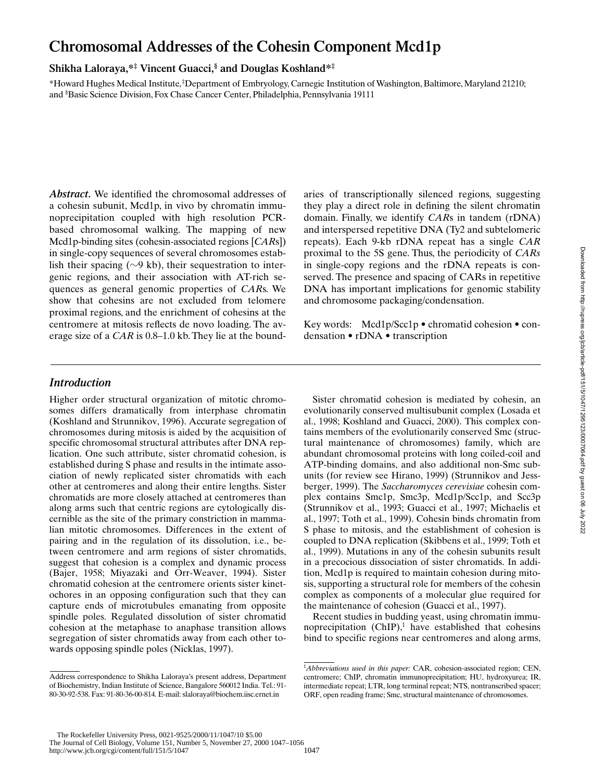# **Chromosomal Addresses of the Cohesin Component Mcd1p**

# **Shikha Laloraya,\*‡ Vincent Guacci,§ and Douglas Koshland\*‡**

\*Howard Hughes Medical Institute, ‡Department of Embryology, Carnegie Institution of Washington, Baltimore, Maryland 21210; and § Basic Science Division, Fox Chase Cancer Center, Philadelphia, Pennsylvania 19111

*Abstract.* We identified the chromosomal addresses of a cohesin subunit, Mcd1p, in vivo by chromatin immunoprecipitation coupled with high resolution PCRbased chromosomal walking. The mapping of new Mcd1p-binding sites (cohesin-associated regions [*CAR*s]) in single-copy sequences of several chromosomes establish their spacing ( $\sim$ 9 kb), their sequestration to intergenic regions, and their association with AT-rich sequences as general genomic properties of *CAR*s. We show that cohesins are not excluded from telomere proximal regions, and the enrichment of cohesins at the centromere at mitosis reflects de novo loading. The average size of a *CAR* is 0.8–1.0 kb. They lie at the boundaries of transcriptionally silenced regions, suggesting they play a direct role in defining the silent chromatin domain. Finally, we identify *CAR*s in tandem (rDNA) and interspersed repetitive DNA (Ty2 and subtelomeric repeats). Each 9-kb rDNA repeat has a single *CAR* proximal to the 5S gene. Thus, the periodicity of *CARs* in single-copy regions and the rDNA repeats is conserved. The presence and spacing of CARs in repetitive DNA has important implications for genomic stability and chromosome packaging/condensation.

Key words: Mcd1p/Scc1p • chromatid cohesion • condensation • rDNA • transcription

# *Introduction*

Higher order structural organization of mitotic chromosomes differs dramatically from interphase chromatin (Koshland and Strunnikov, 1996). Accurate segregation of chromosomes during mitosis is aided by the acquisition of specific chromosomal structural attributes after DNA replication. One such attribute, sister chromatid cohesion, is established during S phase and results in the intimate association of newly replicated sister chromatids with each other at centromeres and along their entire lengths. Sister chromatids are more closely attached at centromeres than along arms such that centric regions are cytologically discernible as the site of the primary constriction in mammalian mitotic chromosomes. Differences in the extent of pairing and in the regulation of its dissolution, i.e., between centromere and arm regions of sister chromatids, suggest that cohesion is a complex and dynamic process (Bajer, 1958; Miyazaki and Orr-Weaver, 1994). Sister chromatid cohesion at the centromere orients sister kinetochores in an opposing configuration such that they can capture ends of microtubules emanating from opposite spindle poles. Regulated dissolution of sister chromatid cohesion at the metaphase to anaphase transition allows segregation of sister chromatids away from each other towards opposing spindle poles (Nicklas, 1997).

Sister chromatid cohesion is mediated by cohesin, an evolutionarily conserved multisubunit complex (Losada et al., 1998; Koshland and Guacci, 2000). This complex contains members of the evolutionarily conserved Smc (structural maintenance of chromosomes) family, which are abundant chromosomal proteins with long coiled-coil and ATP-binding domains, and also additional non-Smc subunits (for review see Hirano, 1999) (Strunnikov and Jessberger, 1999). The *Saccharomyces cerevisiae* cohesin complex contains Smc1p, Smc3p, Mcd1p/Scc1p, and Scc3p (Strunnikov et al., 1993; Guacci et al., 1997; Michaelis et al., 1997; Toth et al., 1999). Cohesin binds chromatin from S phase to mitosis, and the establishment of cohesion is coupled to DNA replication (Skibbens et al., 1999; Toth et al., 1999). Mutations in any of the cohesin subunits result in a precocious dissociation of sister chromatids. In addition, Mcd1p is required to maintain cohesion during mitosis, supporting a structural role for members of the cohesin complex as components of a molecular glue required for the maintenance of cohesion (Guacci et al., 1997).

Recent studies in budding yeast, using chromatin immunoprecipitation  $(ChIP)^1$  have established that cohesins bind to specific regions near centromeres and along arms,

Address correspondence to Shikha Laloraya's present address, Department of Biochemistry, Indian Institute of Science, Bangalore 560012 India. Tel.: 91- 80-30-92-538. Fax: 91-80-36-00-814. E-mail: slaloraya@biochem.iisc.ernet.in

<sup>&</sup>lt;sup>1</sup>Abbreviations used in this paper: CAR, cohesion-associated region; CEN, centromere; ChIP, chromatin immunoprecipitation; HU, hydroxyurea; IR, intermediate repeat; LTR, long terminal repeat; NTS, nontranscribed spacer; ORF, open reading frame; Smc, structural maintenance of chromosomes.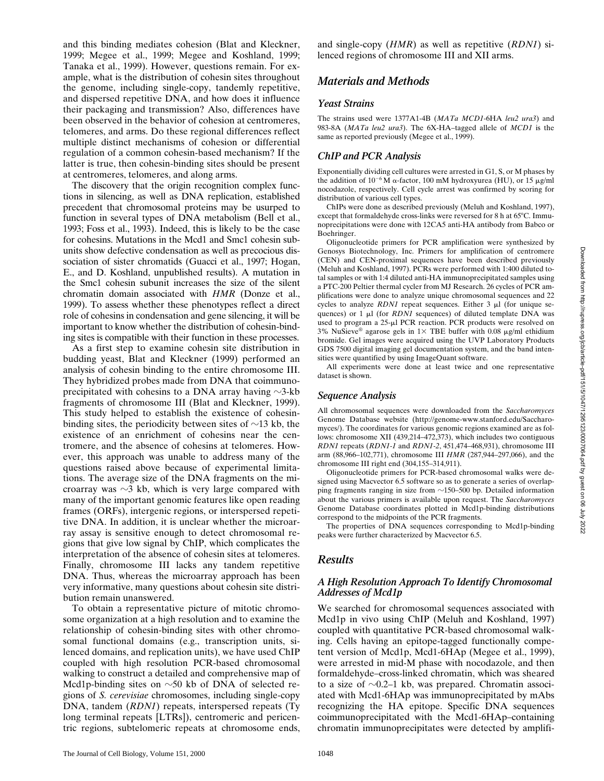and this binding mediates cohesion (Blat and Kleckner, 1999; Megee et al., 1999; Megee and Koshland, 1999; Tanaka et al., 1999). However, questions remain. For example, what is the distribution of cohesin sites throughout the genome, including single-copy, tandemly repetitive, and dispersed repetitive DNA, and how does it influence their packaging and transmission? Also, differences have been observed in the behavior of cohesion at centromeres, telomeres, and arms. Do these regional differences reflect multiple distinct mechanisms of cohesion or differential regulation of a common cohesin-based mechanism? If the latter is true, then cohesin-binding sites should be present at centromeres, telomeres, and along arms.

The discovery that the origin recognition complex functions in silencing, as well as DNA replication, established precedent that chromosomal proteins may be usurped to function in several types of DNA metabolism (Bell et al., 1993; Foss et al., 1993). Indeed, this is likely to be the case for cohesins. Mutations in the Mcd1 and Smc1 cohesin subunits show defective condensation as well as precocious dissociation of sister chromatids (Guacci et al., 1997; Hogan, E., and D. Koshland, unpublished results). A mutation in the Smc1 cohesin subunit increases the size of the silent chromatin domain associated with *HMR* (Donze et al., 1999). To assess whether these phenotypes reflect a direct role of cohesins in condensation and gene silencing, it will be important to know whether the distribution of cohesin-binding sites is compatible with their function in these processes.

As a first step to examine cohesin site distribution in budding yeast, Blat and Kleckner (1999) performed an analysis of cohesin binding to the entire chromosome III. They hybridized probes made from DNA that coimmunoprecipitated with cohesins to a DNA array having  $\sim$ 3-kb fragments of chromosome III (Blat and Kleckner, 1999). This study helped to establish the existence of cohesinbinding sites, the periodicity between sites of  $\sim$ 13 kb, the existence of an enrichment of cohesins near the centromere, and the absence of cohesins at telomeres. However, this approach was unable to address many of the questions raised above because of experimental limitations. The average size of the DNA fragments on the microarray was  $\sim$ 3 kb, which is very large compared with many of the important genomic features like open reading frames (ORFs), intergenic regions, or interspersed repetitive DNA. In addition, it is unclear whether the microarray assay is sensitive enough to detect chromosomal regions that give low signal by ChIP, which complicates the interpretation of the absence of cohesin sites at telomeres. Finally, chromosome III lacks any tandem repetitive DNA. Thus, whereas the microarray approach has been very informative, many questions about cohesin site distribution remain unanswered.

To obtain a representative picture of mitotic chromosome organization at a high resolution and to examine the relationship of cohesin-binding sites with other chromosomal functional domains (e.g., transcription units, silenced domains, and replication units), we have used ChIP coupled with high resolution PCR-based chromosomal walking to construct a detailed and comprehensive map of Mcd1p-binding sites on  $\sim$ 50 kb of DNA of selected regions of *S. cerevisiae* chromosomes, including single-copy DNA, tandem (*RDN1*) repeats, interspersed repeats (Ty long terminal repeats [LTRs]), centromeric and pericentric regions, subtelomeric repeats at chromosome ends,

and single-copy (*HMR*) as well as repetitive (*RDN1*) silenced regions of chromosome III and XII arms.

# *Materials and Methods*

#### *Yeast Strains*

The strains used were 1377A1-4B (*MATa MCD1*-6HA *leu2 ura3*) and 983-8A (*MATa leu2 ura3*). The 6X-HA–tagged allele of *MCD1* is the same as reported previously (Megee et al., 1999).

#### *ChIP and PCR Analysis*

Exponentially dividing cell cultures were arrested in G1, S, or M phases by the addition of  $10^{-6}$  M  $\alpha$ -factor, 100 mM hydroxyurea (HU), or 15 µg/ml nocodazole, respectively. Cell cycle arrest was confirmed by scoring for distribution of various cell types.

ChIPs were done as described previously (Meluh and Koshland, 1997), except that formaldehyde cross-links were reversed for 8 h at 65°C. Immunoprecipitations were done with 12CA5 anti-HA antibody from Babco or Boehringer.

Oligonucleotide primers for PCR amplification were synthesized by Genosys Biotechnology, Inc. Primers for amplification of centromere (CEN) and CEN-proximal sequences have been described previously (Meluh and Koshland, 1997). PCRs were performed with 1:400 diluted total samples or with 1:4 diluted anti-HA immunoprecipitated samples using a PTC-200 Peltier thermal cycler from MJ Research. 26 cycles of PCR amplifications were done to analyze unique chromosomal sequences and 22 cycles to analyze *RDN1* repeat sequences. Either  $3 \mu$  (for unique sequences) or  $1 \mu l$  (for *RDN1* sequences) of diluted template DNA was used to program a 25-µl PCR reaction. PCR products were resolved on 3% NuSieve® agarose gels in  $1 \times$  TBE buffer with 0.08 µg/ml ethidium bromide. Gel images were acquired using the UVP Laboratory Products GDS 7500 digital imaging gel documentation system, and the band intensities were quantified by using ImageQuant software.

All experiments were done at least twice and one representative dataset is shown.

#### *Sequence Analysis*

All chromosomal sequences were downloaded from the *Saccharomyces* Genome Database website (http://genome-www.stanford.edu/Saccharomyces/). The coordinates for various genomic regions examined are as follows: chromosome XII (439,214–472,373), which includes two contiguous *RDN1* repeats (*RDN1-1* and *RDN1-2*, 451,474–468,931), chromosome III arm (88,966–102,771), chromosome III *HMR* (287,944–297,066), and the chromosome III right end (304,155–314,911).

Oligonucleotide primers for PCR-based chromosomal walks were designed using Macvector 6.5 software so as to generate a series of overlapping fragments ranging in size from  $\sim$ 150–500 bp. Detailed information about the various primers is available upon request. The *Saccharomyces* Genome Database coordinates plotted in Mcd1p-binding distributions correspond to the midpoints of the PCR fragments.

The properties of DNA sequences corresponding to Mcd1p-binding peaks were further characterized by Macvector 6.5.

# *Results*

### *A High Resolution Approach To Identify Chromosomal Addresses of Mcd1p*

We searched for chromosomal sequences associated with Mcd1p in vivo using ChIP (Meluh and Koshland, 1997) coupled with quantitative PCR-based chromosomal walking. Cells having an epitope-tagged functionally competent version of Mcd1p, Mcd1-6HAp (Megee et al., 1999), were arrested in mid-M phase with nocodazole, and then formaldehyde–cross-linked chromatin, which was sheared to a size of  $\sim 0.2-1$  kb, was prepared. Chromatin associated with Mcd1-6HAp was immunoprecipitated by mAbs recognizing the HA epitope. Specific DNA sequences coimmunoprecipitated with the Mcd1-6HAp–containing chromatin immunoprecipitates were detected by amplifi-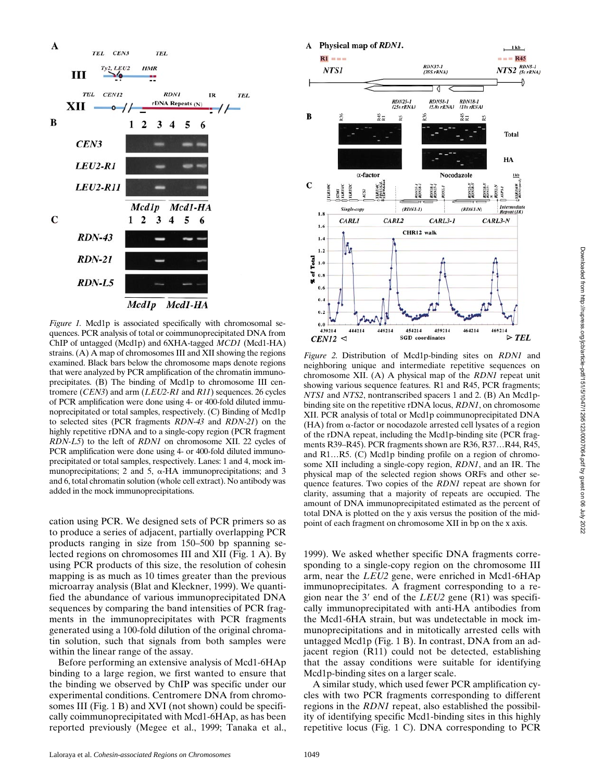

*Figure 1.* Mcd1p is associated specifically with chromosomal sequences. PCR analysis of total or coimmunoprecipitated DNA from ChIP of untagged (Mcd1p) and 6XHA-tagged *MCD1* (Mcd1-HA) strains. (A) A map of chromosomes III and XII showing the regions examined. Black bars below the chromosome maps denote regions that were analyzed by PCR amplification of the chromatin immunoprecipitates. (B) The binding of Mcd1p to chromosome III centromere (*CEN3*) and arm (*LEU2-R1* and *R11*) sequences. 26 cycles of PCR amplification were done using 4- or 400-fold diluted immunoprecipitated or total samples, respectively. (C) Binding of Mcd1p to selected sites (PCR fragments *RDN-43* and *RDN-21*) on the highly repetitive rDNA and to a single-copy region (PCR fragment *RDN-L5*) to the left of *RDN1* on chromosome XII. 22 cycles of PCR amplification were done using 4- or 400-fold diluted immunoprecipitated or total samples, respectively. Lanes: 1 and 4, mock immunoprecipitations; 2 and 5,  $\alpha$ -HA immunoprecipitations; and 3 and 6, total chromatin solution (whole cell extract). No antibody was added in the mock immunoprecipitations.

cation using PCR. We designed sets of PCR primers so as to produce a series of adjacent, partially overlapping PCR products ranging in size from 150–500 bp spanning selected regions on chromosomes III and XII (Fig. 1 A). By using PCR products of this size, the resolution of cohesin mapping is as much as 10 times greater than the previous microarray analysis (Blat and Kleckner, 1999). We quantified the abundance of various immunoprecipitated DNA sequences by comparing the band intensities of PCR fragments in the immunoprecipitates with PCR fragments generated using a 100-fold dilution of the original chromatin solution, such that signals from both samples were within the linear range of the assay.

Before performing an extensive analysis of Mcd1-6HAp binding to a large region, we first wanted to ensure that the binding we observed by ChIP was specific under our experimental conditions. Centromere DNA from chromosomes III (Fig. 1 B) and XVI (not shown) could be specifically coimmunoprecipitated with Mcd1-6HAp, as has been reported previously (Megee et al., 1999; Tanaka et al.,



*Figure 2.* Distribution of Mcd1p-binding sites on *RDN1* and neighboring unique and intermediate repetitive sequences on chromosome XII. (A) A physical map of the *RDN1* repeat unit showing various sequence features. R1 and R45, PCR fragments; *NTS1* and *NTS2*, nontranscribed spacers 1 and 2. (B) An Mcd1pbinding site on the repetitive rDNA locus, *RDN1*, on chromosome XII. PCR analysis of total or Mcd1p coimmunoprecipitated DNA  $(HA)$  from  $\alpha$ -factor or nocodazole arrested cell lysates of a region of the rDNA repeat, including the Mcd1p-binding site (PCR fragments R39–R45). PCR fragments shown are R36, R37…R44, R45, and R1…R5. (C) Mcd1p binding profile on a region of chromosome XII including a single-copy region, *RDN1*, and an IR. The physical map of the selected region shows ORFs and other sequence features. Two copies of the *RDN1* repeat are shown for clarity, assuming that a majority of repeats are occupied. The amount of DNA immunoprecipitated estimated as the percent of total DNA is plotted on the y axis versus the position of the midpoint of each fragment on chromosome XII in bp on the x axis.

1999). We asked whether specific DNA fragments corresponding to a single-copy region on the chromosome III arm, near the *LEU2* gene, were enriched in Mcd1-6HAp immunoprecipitates. A fragment corresponding to a region near the 3' end of the  $LEU2$  gene  $(R1)$  was specifically immunoprecipitated with anti-HA antibodies from the Mcd1-6HA strain, but was undetectable in mock immunoprecipitations and in mitotically arrested cells with untagged Mcd1p (Fig. 1 B). In contrast, DNA from an adjacent region (R11) could not be detected, establishing that the assay conditions were suitable for identifying Mcd1p-binding sites on a larger scale.

A similar study, which used fewer PCR amplification cycles with two PCR fragments corresponding to different regions in the *RDN1* repeat, also established the possibility of identifying specific Mcd1-binding sites in this highly repetitive locus (Fig. 1 C). DNA corresponding to PCR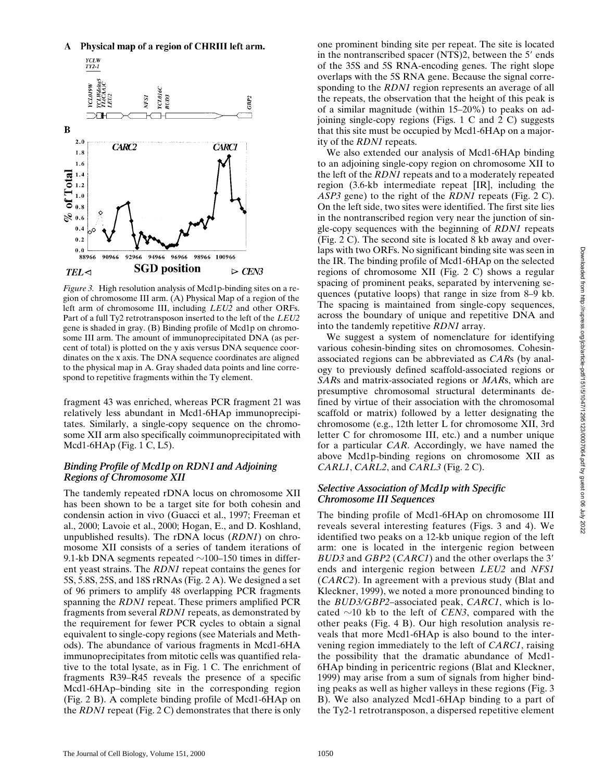A Physical map of a region of CHRIII left arm.



*Figure 3.* High resolution analysis of Mcd1p-binding sites on a region of chromosome III arm. (A) Physical Map of a region of the left arm of chromosome III, including *LEU2* and other ORFs. Part of a full Ty2 retrotransposon inserted to the left of the *LEU2* gene is shaded in gray. (B) Binding profile of Mcd1p on chromosome III arm. The amount of immunoprecipitated DNA (as percent of total) is plotted on the y axis versus DNA sequence coordinates on the x axis. The DNA sequence coordinates are aligned to the physical map in A. Gray shaded data points and line correspond to repetitive fragments within the Ty element.

fragment 43 was enriched, whereas PCR fragment 21 was relatively less abundant in Mcd1-6HAp immunoprecipitates. Similarly, a single-copy sequence on the chromosome XII arm also specifically coimmunoprecipitated with Mcd1-6HAp (Fig. 1 C, L5).

### *Binding Profile of Mcd1p on RDN1 and Adjoining Regions of Chromosome XII*

The tandemly repeated rDNA locus on chromosome XII has been shown to be a target site for both cohesin and condensin action in vivo (Guacci et al., 1997; Freeman et al., 2000; Lavoie et al., 2000; Hogan, E., and D. Koshland, unpublished results). The rDNA locus (*RDN1*) on chromosome XII consists of a series of tandem iterations of 9.1-kb DNA segments repeated  $\sim$ 100–150 times in different yeast strains. The *RDN1* repeat contains the genes for 5S, 5.8S, 25S, and 18S rRNAs (Fig. 2 A). We designed a set of 96 primers to amplify 48 overlapping PCR fragments spanning the *RDN1* repeat. These primers amplified PCR fragments from several *RDN1* repeats, as demonstrated by the requirement for fewer PCR cycles to obtain a signal equivalent to single-copy regions (see Materials and Methods). The abundance of various fragments in Mcd1-6HA immunoprecipitates from mitotic cells was quantified relative to the total lysate, as in Fig. 1 C. The enrichment of fragments R39–R45 reveals the presence of a specific Mcd1-6HAp–binding site in the corresponding region (Fig. 2 B). A complete binding profile of Mcd1-6HAp on the *RDN1* repeat (Fig. 2 C) demonstrates that there is only one prominent binding site per repeat. The site is located in the nontranscribed spacer (NTS)2, between the 5' ends of the 35S and 5S RNA-encoding genes. The right slope overlaps with the 5S RNA gene. Because the signal corresponding to the *RDN1* region represents an average of all the repeats, the observation that the height of this peak is of a similar magnitude (within 15–20%) to peaks on adjoining single-copy regions (Figs. 1 C and 2 C) suggests that this site must be occupied by Mcd1-6HAp on a majority of the *RDN1* repeats.

We also extended our analysis of Mcd1-6HAp binding to an adjoining single-copy region on chromosome XII to the left of the *RDN1* repeats and to a moderately repeated region (3.6-kb intermediate repeat [IR], including the *ASP3* gene) to the right of the *RDN1* repeats (Fig. 2 C). On the left side, two sites were identified. The first site lies in the nontranscribed region very near the junction of single-copy sequences with the beginning of *RDN1* repeats (Fig. 2 C). The second site is located 8 kb away and overlaps with two ORFs. No significant binding site was seen in the IR. The binding profile of Mcd1-6HAp on the selected regions of chromosome XII (Fig. 2 C) shows a regular spacing of prominent peaks, separated by intervening sequences (putative loops) that range in size from 8–9 kb. The spacing is maintained from single-copy sequences, across the boundary of unique and repetitive DNA and into the tandemly repetitive *RDN1* array.

We suggest a system of nomenclature for identifying various cohesin-binding sites on chromosomes. Cohesinassociated regions can be abbreviated as *CAR*s (by analogy to previously defined scaffold-associated regions or *SAR*s and matrix-associated regions or *MAR*s, which are presumptive chromosomal structural determinants defined by virtue of their association with the chromosomal scaffold or matrix) followed by a letter designating the chromosome (e.g., 12th letter L for chromosome XII, 3rd letter C for chromosome III, etc.) and a number unique for a particular *CAR*. Accordingly, we have named the above Mcd1p-binding regions on chromosome XII as *CARL1*, *CARL2*, and *CARL3* (Fig. 2 C).

## *Selective Association of Mcd1p with Specific Chromosome III Sequences*

The binding profile of Mcd1-6HAp on chromosome III reveals several interesting features (Figs. 3 and 4). We identified two peaks on a 12-kb unique region of the left arm: one is located in the intergenic region between *BUD3* and *GBP2* (*CARC1*) and the other overlaps the 3' ends and intergenic region between *LEU2* and *NFS1* (*CARC2*). In agreement with a previous study (Blat and Kleckner, 1999), we noted a more pronounced binding to the *BUD3/GBP2*–associated peak, *CARC1*, which is located  $\sim$ 10 kb to the left of *CEN3*, compared with the other peaks (Fig. 4 B). Our high resolution analysis reveals that more Mcd1-6HAp is also bound to the intervening region immediately to the left of *CARC1*, raising the possibility that the dramatic abundance of Mcd1- 6HAp binding in pericentric regions (Blat and Kleckner, 1999) may arise from a sum of signals from higher binding peaks as well as higher valleys in these regions (Fig. 3 B). We also analyzed Mcd1-6HAp binding to a part of the Ty2-1 retrotransposon, a dispersed repetitive element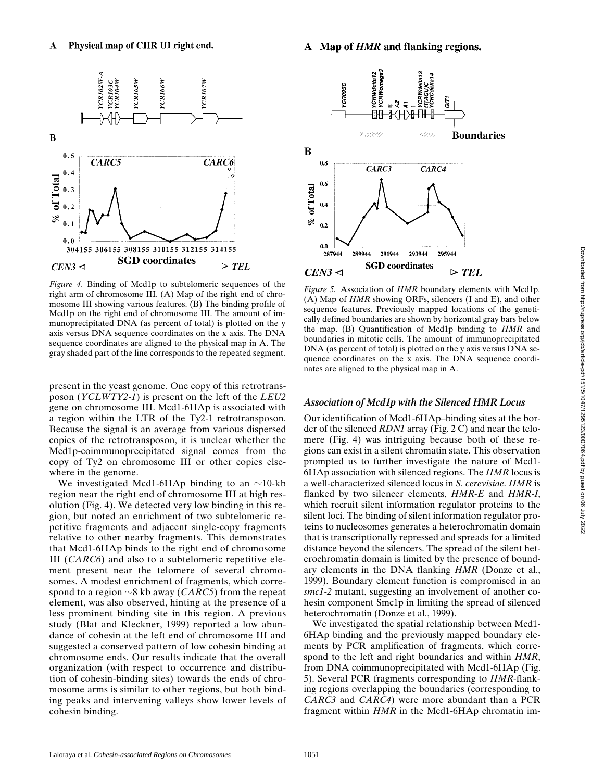

*Figure 4.* Binding of Mcd1p to subtelomeric sequences of the right arm of chromosome III. (A) Map of the right end of chromosome III showing various features. (B) The binding profile of Mcd1p on the right end of chromosome III. The amount of immunoprecipitated DNA (as percent of total) is plotted on the y axis versus DNA sequence coordinates on the x axis. The DNA sequence coordinates are aligned to the physical map in A. The gray shaded part of the line corresponds to the repeated segment.

present in the yeast genome. One copy of this retrotransposon (*YCLWTY2-1*) is present on the left of the *LEU2* gene on chromosome III. Mcd1-6HAp is associated with a region within the LTR of the Ty2-1 retrotransposon. Because the signal is an average from various dispersed copies of the retrotransposon, it is unclear whether the Mcd1p-coimmunoprecipitated signal comes from the copy of Ty2 on chromosome III or other copies elsewhere in the genome.

We investigated Mcd1-6HAp binding to an  $\sim$ 10-kb region near the right end of chromosome III at high resolution (Fig. 4). We detected very low binding in this region, but noted an enrichment of two subtelomeric repetitive fragments and adjacent single-copy fragments relative to other nearby fragments. This demonstrates that Mcd1-6HAp binds to the right end of chromosome III (*CARC6*) and also to a subtelomeric repetitive element present near the telomere of several chromosomes. A modest enrichment of fragments, which correspond to a region  $\sim$ 8 kb away (*CARC5*) from the repeat element, was also observed, hinting at the presence of a less prominent binding site in this region. A previous study (Blat and Kleckner, 1999) reported a low abundance of cohesin at the left end of chromosome III and suggested a conserved pattern of low cohesin binding at chromosome ends. Our results indicate that the overall organization (with respect to occurrence and distribution of cohesin-binding sites) towards the ends of chromosome arms is similar to other regions, but both binding peaks and intervening valleys show lower levels of cohesin binding.



*Figure 5.* Association of *HMR* boundary elements with Mcd1p. (A) Map of *HMR* showing ORFs, silencers (I and E), and other sequence features. Previously mapped locations of the genetically defined boundaries are shown by horizontal gray bars below the map. (B) Quantification of Mcd1p binding to *HMR* and boundaries in mitotic cells. The amount of immunoprecipitated DNA (as percent of total) is plotted on the y axis versus DNA sequence coordinates on the x axis. The DNA sequence coordinates are aligned to the physical map in A.

#### *Association of Mcd1p with the Silenced HMR Locus*

Our identification of Mcd1-6HAp–binding sites at the border of the silenced *RDN1* array (Fig. 2 C) and near the telomere (Fig. 4) was intriguing because both of these regions can exist in a silent chromatin state. This observation prompted us to further investigate the nature of Mcd1- 6HAp association with silenced regions. The *HMR* locus is a well-characterized silenced locus in *S. cerevisiae*. *HMR* is flanked by two silencer elements, *HMR-E* and *HMR-I*, which recruit silent information regulator proteins to the silent loci. The binding of silent information regulator proteins to nucleosomes generates a heterochromatin domain that is transcriptionally repressed and spreads for a limited distance beyond the silencers. The spread of the silent heterochromatin domain is limited by the presence of boundary elements in the DNA flanking *HMR* (Donze et al., 1999). Boundary element function is compromised in an *smc1-2* mutant, suggesting an involvement of another cohesin component Smc1p in limiting the spread of silenced heterochromatin (Donze et al., 1999).

We investigated the spatial relationship between Mcd1- 6HAp binding and the previously mapped boundary elements by PCR amplification of fragments, which correspond to the left and right boundaries and within *HMR*, from DNA coimmunoprecipitated with Mcd1-6HAp (Fig. 5). Several PCR fragments corresponding to *HMR*-flanking regions overlapping the boundaries (corresponding to *CARC3* and *CARC4*) were more abundant than a PCR fragment within *HMR* in the Mcd1-6HAp chromatin im-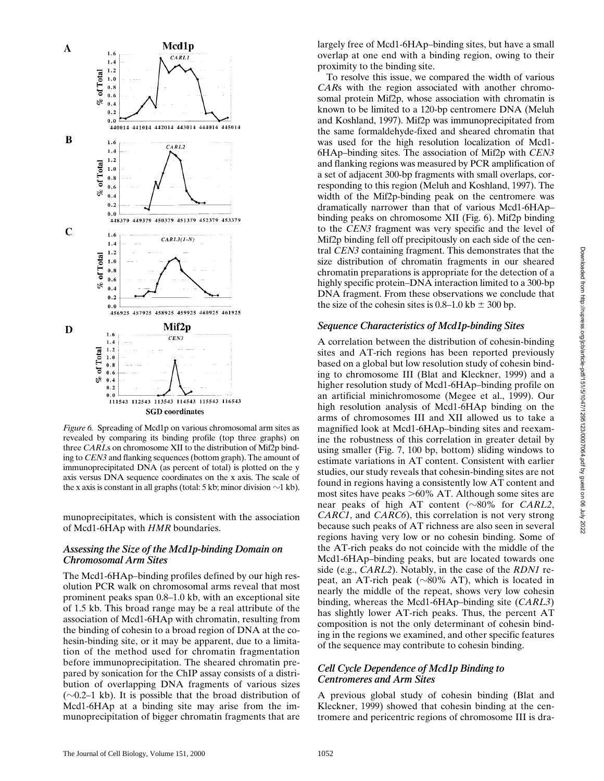

*Figure 6.* Spreading of Mcd1p on various chromosomal arm sites as revealed by comparing its binding profile (top three graphs) on three *CARL*s on chromosome XII to the distribution of Mif2p binding to *CEN3* and flanking sequences (bottom graph). The amount of immunoprecipitated DNA (as percent of total) is plotted on the y axis versus DNA sequence coordinates on the x axis. The scale of the x axis is constant in all graphs (total: 5 kb; minor division  $\sim$ 1 kb).

munoprecipitates, which is consistent with the association of Mcd1-6HAp with *HMR* boundaries.

#### *Assessing the Size of the Mcd1p-binding Domain on Chromosomal Arm Sites*

The Mcd1-6HAp–binding profiles defined by our high resolution PCR walk on chromosomal arms reveal that most prominent peaks span 0.8–1.0 kb, with an exceptional site of 1.5 kb. This broad range may be a real attribute of the association of Mcd1-6HAp with chromatin, resulting from the binding of cohesin to a broad region of DNA at the cohesin-binding site, or it may be apparent, due to a limitation of the method used for chromatin fragmentation before immunoprecipitation. The sheared chromatin prepared by sonication for the ChIP assay consists of a distribution of overlapping DNA fragments of various sizes  $(\sim 0.2-1 \text{ kb})$ . It is possible that the broad distribution of Mcd1-6HAp at a binding site may arise from the immunoprecipitation of bigger chromatin fragments that are

To resolve this issue, we compared the width of various *CAR*s with the region associated with another chromosomal protein Mif2p, whose association with chromatin is known to be limited to a 120-bp centromere DNA (Meluh and Koshland, 1997). Mif2p was immunoprecipitated from the same formaldehyde-fixed and sheared chromatin that was used for the high resolution localization of Mcd1- 6HAp–binding sites. The association of Mif2p with *CEN3* and flanking regions was measured by PCR amplification of a set of adjacent 300-bp fragments with small overlaps, corresponding to this region (Meluh and Koshland, 1997). The width of the Mif2p-binding peak on the centromere was dramatically narrower than that of various Mcd1-6HAp– binding peaks on chromosome XII (Fig. 6). Mif2p binding to the *CEN3* fragment was very specific and the level of Mif2p binding fell off precipitously on each side of the central *CEN3* containing fragment. This demonstrates that the size distribution of chromatin fragments in our sheared chromatin preparations is appropriate for the detection of a highly specific protein–DNA interaction limited to a 300-bp DNA fragment. From these observations we conclude that the size of the cohesin sites is  $0.8-1.0$  kb  $\pm$  300 bp.

#### *Sequence Characteristics of Mcd1p-binding Sites*

A correlation between the distribution of cohesin-binding sites and AT-rich regions has been reported previously based on a global but low resolution study of cohesin binding to chromosome III (Blat and Kleckner, 1999) and a higher resolution study of Mcd1-6HAp–binding profile on an artificial minichromosome (Megee et al., 1999). Our high resolution analysis of Mcd1-6HAp binding on the arms of chromosomes III and XII allowed us to take a magnified look at Mcd1-6HAp–binding sites and reexamine the robustness of this correlation in greater detail by using smaller (Fig. 7, 100 bp, bottom) sliding windows to estimate variations in AT content. Consistent with earlier studies, our study reveals that cohesin-binding sites are not found in regions having a consistently low AT content and most sites have peaks  $>60\%$  AT. Although some sites are near peaks of high AT content  $(\sim 80\%$  for *CARL2*, *CARC1*, and *CARC6*), this correlation is not very strong because such peaks of AT richness are also seen in several regions having very low or no cohesin binding. Some of the AT-rich peaks do not coincide with the middle of the Mcd1-6HAp–binding peaks, but are located towards one side (e.g., *CARL2*). Notably, in the case of the *RDN1* repeat, an AT-rich peak ( $\sim$ 80% AT), which is located in nearly the middle of the repeat, shows very low cohesin binding, whereas the Mcd1-6HAp–binding site (*CARL3*) has slightly lower AT-rich peaks. Thus, the percent AT composition is not the only determinant of cohesin binding in the regions we examined, and other specific features of the sequence may contribute to cohesin binding.

#### *Cell Cycle Dependence of Mcd1p Binding to Centromeres and Arm Sites*

A previous global study of cohesin binding (Blat and Kleckner, 1999) showed that cohesin binding at the centromere and pericentric regions of chromosome III is dra-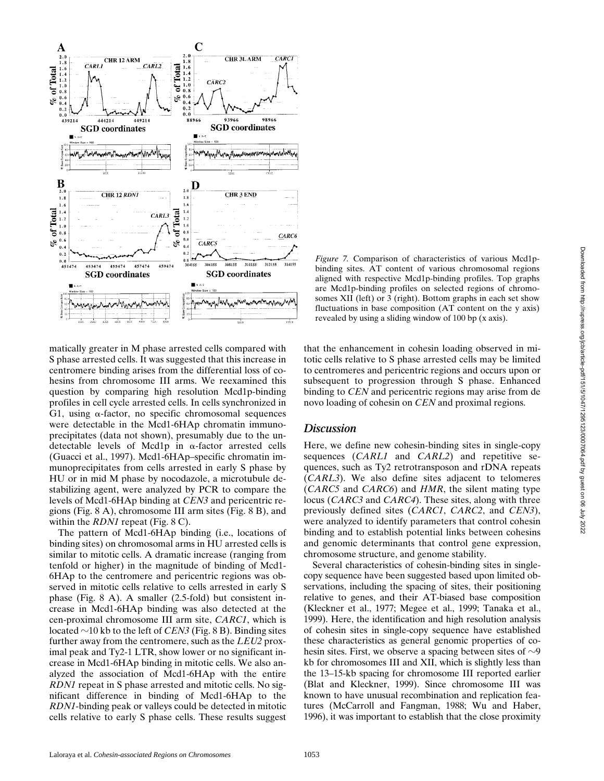

matically greater in M phase arrested cells compared with S phase arrested cells. It was suggested that this increase in centromere binding arises from the differential loss of cohesins from chromosome III arms. We reexamined this question by comparing high resolution Mcd1p-binding profiles in cell cycle arrested cells. In cells synchronized in G1, using  $\alpha$ -factor, no specific chromosomal sequences were detectable in the Mcd1-6HAp chromatin immunoprecipitates (data not shown), presumably due to the undetectable levels of Mcd1p in  $\alpha$ -factor arrested cells (Guacci et al., 1997). Mcd1-6HAp–specific chromatin immunoprecipitates from cells arrested in early S phase by HU or in mid M phase by nocodazole, a microtubule destabilizing agent, were analyzed by PCR to compare the levels of Mcd1-6HAp binding at *CEN3* and pericentric regions (Fig. 8 A), chromosome III arm sites (Fig. 8 B), and within the *RDN1* repeat (Fig. 8 C).

The pattern of Mcd1-6HAp binding (i.e., locations of binding sites) on chromosomal arms in HU arrested cells is similar to mitotic cells. A dramatic increase (ranging from tenfold or higher) in the magnitude of binding of Mcd1- 6HAp to the centromere and pericentric regions was observed in mitotic cells relative to cells arrested in early S phase (Fig. 8 A). A smaller (2.5-fold) but consistent increase in Mcd1-6HAp binding was also detected at the cen-proximal chromosome III arm site, *CARC1*, which is located  $\sim$ 10 kb to the left of *CEN3* (Fig. 8 B). Binding sites further away from the centromere, such as the *LEU2* proximal peak and Ty2-1 LTR, show lower or no significant increase in Mcd1-6HAp binding in mitotic cells. We also analyzed the association of Mcd1-6HAp with the entire *RDN1* repeat in S phase arrested and mitotic cells. No significant difference in binding of Mcd1-6HAp to the *RDN1*-binding peak or valleys could be detected in mitotic cells relative to early S phase cells. These results suggest

*Figure 7.* Comparison of characteristics of various Mcd1pbinding sites. AT content of various chromosomal regions aligned with respective Mcd1p-binding profiles. Top graphs are Mcd1p-binding profiles on selected regions of chromosomes XII (left) or 3 (right). Bottom graphs in each set show fluctuations in base composition (AT content on the y axis) revealed by using a sliding window of 100 bp (x axis).

that the enhancement in cohesin loading observed in mitotic cells relative to S phase arrested cells may be limited to centromeres and pericentric regions and occurs upon or subsequent to progression through S phase. Enhanced binding to *CEN* and pericentric regions may arise from de novo loading of cohesin on *CEN* and proximal regions.

#### *Discussion*

Here, we define new cohesin-binding sites in single-copy sequences (*CARL1* and *CARL2*) and repetitive sequences, such as Ty2 retrotransposon and rDNA repeats (*CARL3*). We also define sites adjacent to telomeres (*CARC5* and *CARC6*) and *HMR*, the silent mating type locus (*CARC3* and *CARC4*). These sites, along with three previously defined sites (*CARC1*, *CARC2*, and *CEN3*), were analyzed to identify parameters that control cohesin binding and to establish potential links between cohesins and genomic determinants that control gene expression, chromosome structure, and genome stability.

Several characteristics of cohesin-binding sites in singlecopy sequence have been suggested based upon limited observations, including the spacing of sites, their positioning relative to genes, and their AT-biased base composition (Kleckner et al., 1977; Megee et al., 1999; Tanaka et al., 1999). Here, the identification and high resolution analysis of cohesin sites in single-copy sequence have established these characteristics as general genomic properties of cohesin sites. First, we observe a spacing between sites of  $\sim 9$ kb for chromosomes III and XII, which is slightly less than the 13–15-kb spacing for chromosome III reported earlier (Blat and Kleckner, 1999). Since chromosome III was known to have unusual recombination and replication features (McCarroll and Fangman, 1988; Wu and Haber, 1996), it was important to establish that the close proximity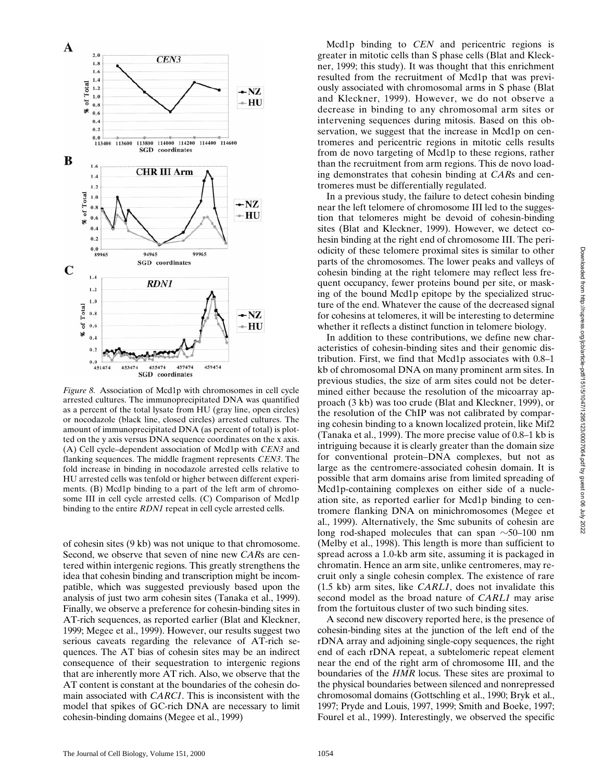

*Figure 8.* Association of Mcd1p with chromosomes in cell cycle arrested cultures. The immunoprecipitated DNA was quantified as a percent of the total lysate from HU (gray line, open circles) or nocodazole (black line, closed circles) arrested cultures. The amount of immunoprecipitated DNA (as percent of total) is plotted on the y axis versus DNA sequence coordinates on the x axis. (A) Cell cycle–dependent association of Mcd1p with *CEN3* and flanking sequences. The middle fragment represents *CEN3*. The fold increase in binding in nocodazole arrested cells relative to HU arrested cells was tenfold or higher between different experiments. (B) Mcd1p binding to a part of the left arm of chromosome III in cell cycle arrested cells. (C) Comparison of Mcd1p binding to the entire *RDN1* repeat in cell cycle arrested cells.

of cohesin sites (9 kb) was not unique to that chromosome. Second, we observe that seven of nine new *CAR*s are centered within intergenic regions. This greatly strengthens the idea that cohesin binding and transcription might be incompatible, which was suggested previously based upon the analysis of just two arm cohesin sites (Tanaka et al., 1999). Finally, we observe a preference for cohesin-binding sites in AT-rich sequences, as reported earlier (Blat and Kleckner, 1999; Megee et al., 1999). However, our results suggest two serious caveats regarding the relevance of AT-rich sequences. The AT bias of cohesin sites may be an indirect consequence of their sequestration to intergenic regions that are inherently more AT rich. Also, we observe that the AT content is constant at the boundaries of the cohesin domain associated with *CARC1*. This is inconsistent with the model that spikes of GC-rich DNA are necessary to limit cohesin-binding domains (Megee et al., 1999)

Mcd1p binding to *CEN* and pericentric regions is greater in mitotic cells than S phase cells (Blat and Kleckner, 1999; this study). It was thought that this enrichment resulted from the recruitment of Mcd1p that was previously associated with chromosomal arms in S phase (Blat and Kleckner, 1999). However, we do not observe a decrease in binding to any chromosomal arm sites or intervening sequences during mitosis. Based on this observation, we suggest that the increase in Mcd1p on centromeres and pericentric regions in mitotic cells results from de novo targeting of Mcd1p to these regions, rather than the recruitment from arm regions. This de novo loading demonstrates that cohesin binding at *CAR*s and centromeres must be differentially regulated.

In a previous study, the failure to detect cohesin binding near the left telomere of chromosome III led to the suggestion that telomeres might be devoid of cohesin-binding sites (Blat and Kleckner, 1999). However, we detect cohesin binding at the right end of chromosome III. The periodicity of these telomere proximal sites is similar to other parts of the chromosomes. The lower peaks and valleys of cohesin binding at the right telomere may reflect less frequent occupancy, fewer proteins bound per site, or masking of the bound Mcd1p epitope by the specialized structure of the end. Whatever the cause of the decreased signal for cohesins at telomeres, it will be interesting to determine whether it reflects a distinct function in telomere biology.

In addition to these contributions, we define new characteristics of cohesin-binding sites and their genomic distribution. First, we find that Mcd1p associates with 0.8–1 kb of chromosomal DNA on many prominent arm sites. In previous studies, the size of arm sites could not be determined either because the resolution of the micoarray approach (3 kb) was too crude (Blat and Kleckner, 1999), or the resolution of the ChIP was not calibrated by comparing cohesin binding to a known localized protein, like Mif2 (Tanaka et al., 1999). The more precise value of 0.8–1 kb is intriguing because it is clearly greater than the domain size for conventional protein–DNA complexes, but not as large as the centromere-associated cohesin domain. It is possible that arm domains arise from limited spreading of Mcd1p-containing complexes on either side of a nucleation site, as reported earlier for Mcd1p binding to centromere flanking DNA on minichromosomes (Megee et al., 1999). Alternatively, the Smc subunits of cohesin are long rod-shaped molecules that can span  $\sim$ 50–100 nm (Melby et al., 1998). This length is more than sufficient to spread across a 1.0-kb arm site, assuming it is packaged in chromatin. Hence an arm site, unlike centromeres, may recruit only a single cohesin complex. The existence of rare (1.5 kb) arm sites, like *CARL1*, does not invalidate this second model as the broad nature of *CARL1* may arise from the fortuitous cluster of two such binding sites.

A second new discovery reported here, is the presence of cohesin-binding sites at the junction of the left end of the rDNA array and adjoining single-copy sequences, the right end of each rDNA repeat, a subtelomeric repeat element near the end of the right arm of chromosome III, and the boundaries of the *HMR* locus. These sites are proximal to the physical boundaries between silenced and nonrepressed chromosomal domains (Gottschling et al., 1990; Bryk et al., 1997; Pryde and Louis, 1997, 1999; Smith and Boeke, 1997; Fourel et al., 1999). Interestingly, we observed the specific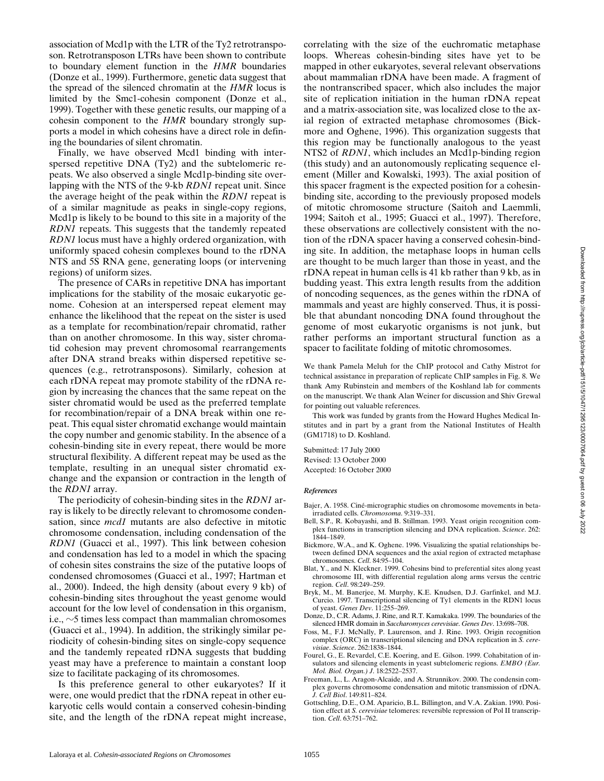association of Mcd1p with the LTR of the Ty2 retrotransposon. Retrotransposon LTRs have been shown to contribute to boundary element function in the *HMR* boundaries (Donze et al., 1999). Furthermore, genetic data suggest that the spread of the silenced chromatin at the *HMR* locus is limited by the Smc1-cohesin component (Donze et al., 1999). Together with these genetic results, our mapping of a cohesin component to the *HMR* boundary strongly supports a model in which cohesins have a direct role in defining the boundaries of silent chromatin.

Finally, we have observed Mcd1 binding with interspersed repetitive DNA (Ty2) and the subtelomeric repeats. We also observed a single Mcd1p-binding site overlapping with the NTS of the 9-kb *RDN1* repeat unit. Since the average height of the peak within the *RDN1* repeat is of a similar magnitude as peaks in single-copy regions, Mcd1p is likely to be bound to this site in a majority of the *RDN1* repeats. This suggests that the tandemly repeated *RDN1* locus must have a highly ordered organization, with uniformly spaced cohesin complexes bound to the rDNA NTS and 5S RNA gene, generating loops (or intervening regions) of uniform sizes.

The presence of CARs in repetitive DNA has important implications for the stability of the mosaic eukaryotic genome. Cohesion at an interspersed repeat element may enhance the likelihood that the repeat on the sister is used as a template for recombination/repair chromatid, rather than on another chromosome. In this way, sister chromatid cohesion may prevent chromosomal rearrangements after DNA strand breaks within dispersed repetitive sequences (e.g., retrotransposons). Similarly, cohesion at each rDNA repeat may promote stability of the rDNA region by increasing the chances that the same repeat on the sister chromatid would be used as the preferred template for recombination/repair of a DNA break within one repeat. This equal sister chromatid exchange would maintain the copy number and genomic stability. In the absence of a cohesin-binding site in every repeat, there would be more structural flexibility. A different repeat may be used as the template, resulting in an unequal sister chromatid exchange and the expansion or contraction in the length of the *RDN1* array.

The periodicity of cohesin-binding sites in the *RDN1* array is likely to be directly relevant to chromosome condensation, since *mcd1* mutants are also defective in mitotic chromosome condensation, including condensation of the *RDN1* (Guacci et al., 1997). This link between cohesion and condensation has led to a model in which the spacing of cohesin sites constrains the size of the putative loops of condensed chromosomes (Guacci et al., 1997; Hartman et al., 2000). Indeed, the high density (about every 9 kb) of cohesin-binding sites throughout the yeast genome would account for the low level of condensation in this organism, i.e.,  $\sim$ 5 times less compact than mammalian chromosomes (Guacci et al., 1994). In addition, the strikingly similar periodicity of cohesin-binding sites on single-copy sequence and the tandemly repeated rDNA suggests that budding yeast may have a preference to maintain a constant loop size to facilitate packaging of its chromosomes.

Is this preference general to other eukaryotes? If it were, one would predict that the rDNA repeat in other eukaryotic cells would contain a conserved cohesin-binding site, and the length of the rDNA repeat might increase, correlating with the size of the euchromatic metaphase loops. Whereas cohesin-binding sites have yet to be mapped in other eukaryotes, several relevant observations about mammalian rDNA have been made. A fragment of the nontranscribed spacer, which also includes the major site of replication initiation in the human rDNA repeat and a matrix-association site, was localized close to the axial region of extracted metaphase chromosomes (Bickmore and Oghene, 1996). This organization suggests that this region may be functionally analogous to the yeast NTS2 of *RDN1*, which includes an Mcd1p-binding region (this study) and an autonomously replicating sequence element (Miller and Kowalski, 1993). The axial position of this spacer fragment is the expected position for a cohesinbinding site, according to the previously proposed models of mitotic chromosome structure (Saitoh and Laemmli, 1994; Saitoh et al., 1995; Guacci et al., 1997). Therefore, these observations are collectively consistent with the notion of the rDNA spacer having a conserved cohesin-binding site. In addition, the metaphase loops in human cells are thought to be much larger than those in yeast, and the rDNA repeat in human cells is 41 kb rather than 9 kb, as in budding yeast. This extra length results from the addition of noncoding sequences, as the genes within the rDNA of mammals and yeast are highly conserved. Thus, it is possible that abundant noncoding DNA found throughout the genome of most eukaryotic organisms is not junk, but rather performs an important structural function as a spacer to facilitate folding of mitotic chromosomes.

We thank Pamela Meluh for the ChIP protocol and Cathy Mistrot for technical assistance in preparation of replicate ChIP samples in Fig. 8. We thank Amy Rubinstein and members of the Koshland lab for comments on the manuscript. We thank Alan Weiner for discussion and Shiv Grewal for pointing out valuable references.

This work was funded by grants from the Howard Hughes Medical Institutes and in part by a grant from the National Institutes of Health (GM1718) to D. Koshland.

Submitted: 17 July 2000 Revised: 13 October 2000 Accepted: 16 October 2000

#### *References*

Bajer, A. 1958. Ciné-micrographic studies on chromosome movements in betairradiated cells. *Chromosoma*. 9:319–331.

- Bell, S.P., R. Kobayashi, and B. Stillman. 1993. Yeast origin recognition complex functions in transcription silencing and DNA replication. *Science*. 262: 1844–1849.
- Bickmore, W.A., and K. Oghene. 1996. Visualizing the spatial relationships between defined DNA sequences and the axial region of extracted metaphase chromosomes. *Cell*. 84:95–104.
- Blat, Y., and N. Kleckner. 1999. Cohesins bind to preferential sites along yeast chromosome III, with differential regulation along arms versus the centric region. *Cell*. 98:249–259.
- Bryk, M., M. Banerjee, M. Murphy, K.E. Knudsen, D.J. Garfinkel, and M.J. Curcio. 1997. Transcriptional silencing of Ty1 elements in the RDN1 locus of yeast. *Genes Dev*. 11:255–269.
- Donze, D., C.R. Adams, J. Rine, and R.T. Kamakaka. 1999. The boundaries of the silenced HMR domain in *Saccharomyces cerevisiae*. *Genes Dev*. 13:698–708.
- Foss, M., F.J. McNally, P. Laurenson, and J. Rine. 1993. Origin recognition complex (ORC) in transcriptional silencing and DNA replication in *S. cerevisiae*. *Science*. 262:1838–1844.
- Fourel, G., E. Revardel, C.E. Koering, and E. Gilson. 1999. Cohabitation of insulators and silencing elements in yeast subtelomeric regions. *EMBO (Eur. Mol. Biol. Organ.) J*. 18:2522–2537.
- Freeman, L., L. Aragon-Alcaide, and A. Strunnikov. 2000. The condensin complex governs chromosome condensation and mitotic transmission of rDNA. *J. Cell Biol*. 149:811–824.
- Gottschling, D.E., O.M. Aparicio, B.L. Billington, and V.A. Zakian. 1990. Position effect at *S. cerevisiae* telomeres: reversible repression of Pol II transcription. *Cell*. 63:751–762.